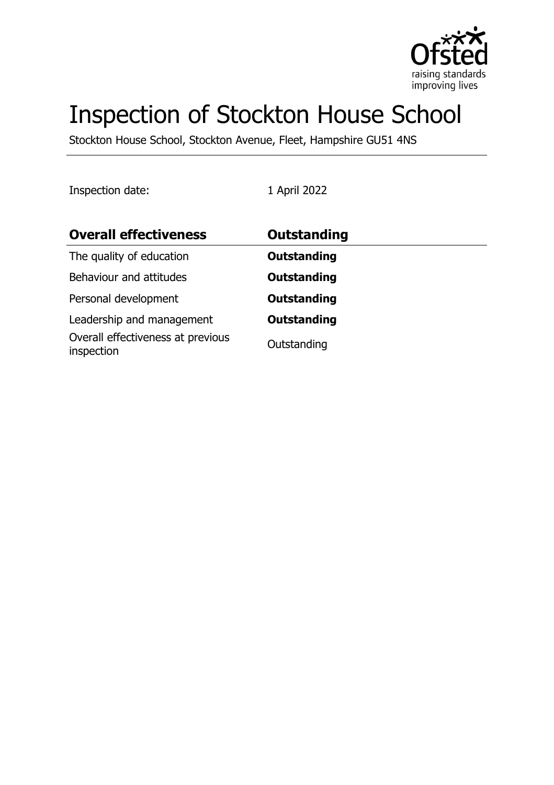

# Inspection of Stockton House School

Stockton House School, Stockton Avenue, Fleet, Hampshire GU51 4NS

Inspection date: 1 April 2022

| <b>Overall effectiveness</b>                    | <b>Outstanding</b> |
|-------------------------------------------------|--------------------|
| The quality of education                        | <b>Outstanding</b> |
| Behaviour and attitudes                         | <b>Outstanding</b> |
| Personal development                            | <b>Outstanding</b> |
| Leadership and management                       | <b>Outstanding</b> |
| Overall effectiveness at previous<br>inspection | Outstanding        |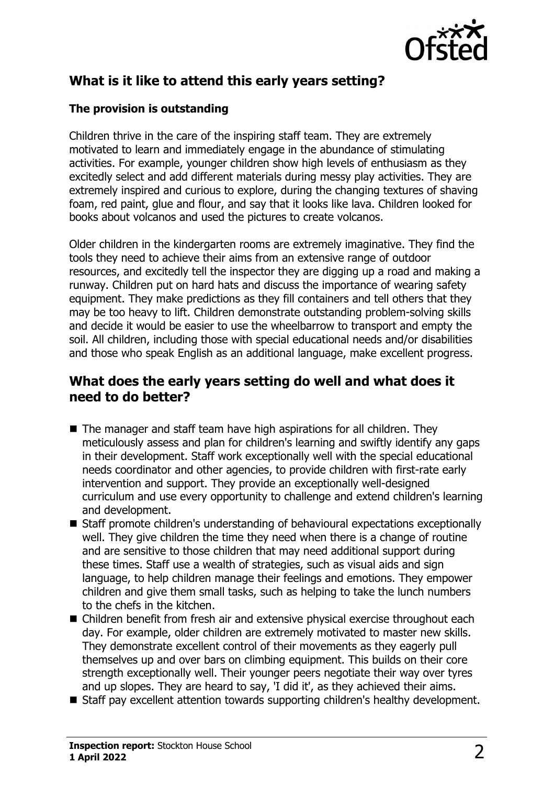

# **What is it like to attend this early years setting?**

#### **The provision is outstanding**

Children thrive in the care of the inspiring staff team. They are extremely motivated to learn and immediately engage in the abundance of stimulating activities. For example, younger children show high levels of enthusiasm as they excitedly select and add different materials during messy play activities. They are extremely inspired and curious to explore, during the changing textures of shaving foam, red paint, glue and flour, and say that it looks like lava. Children looked for books about volcanos and used the pictures to create volcanos.

Older children in the kindergarten rooms are extremely imaginative. They find the tools they need to achieve their aims from an extensive range of outdoor resources, and excitedly tell the inspector they are digging up a road and making a runway. Children put on hard hats and discuss the importance of wearing safety equipment. They make predictions as they fill containers and tell others that they may be too heavy to lift. Children demonstrate outstanding problem-solving skills and decide it would be easier to use the wheelbarrow to transport and empty the soil. All children, including those with special educational needs and/or disabilities and those who speak English as an additional language, make excellent progress.

## **What does the early years setting do well and what does it need to do better?**

- $\blacksquare$  The manager and staff team have high aspirations for all children. They meticulously assess and plan for children's learning and swiftly identify any gaps in their development. Staff work exceptionally well with the special educational needs coordinator and other agencies, to provide children with first-rate early intervention and support. They provide an exceptionally well-designed curriculum and use every opportunity to challenge and extend children's learning and development.
- Staff promote children's understanding of behavioural expectations exceptionally well. They give children the time they need when there is a change of routine and are sensitive to those children that may need additional support during these times. Staff use a wealth of strategies, such as visual aids and sign language, to help children manage their feelings and emotions. They empower children and give them small tasks, such as helping to take the lunch numbers to the chefs in the kitchen.
- $\blacksquare$  Children benefit from fresh air and extensive physical exercise throughout each day. For example, older children are extremely motivated to master new skills. They demonstrate excellent control of their movements as they eagerly pull themselves up and over bars on climbing equipment. This builds on their core strength exceptionally well. Their younger peers negotiate their way over tyres and up slopes. They are heard to say, 'I did it', as they achieved their aims.
- Staff pay excellent attention towards supporting children's healthy development.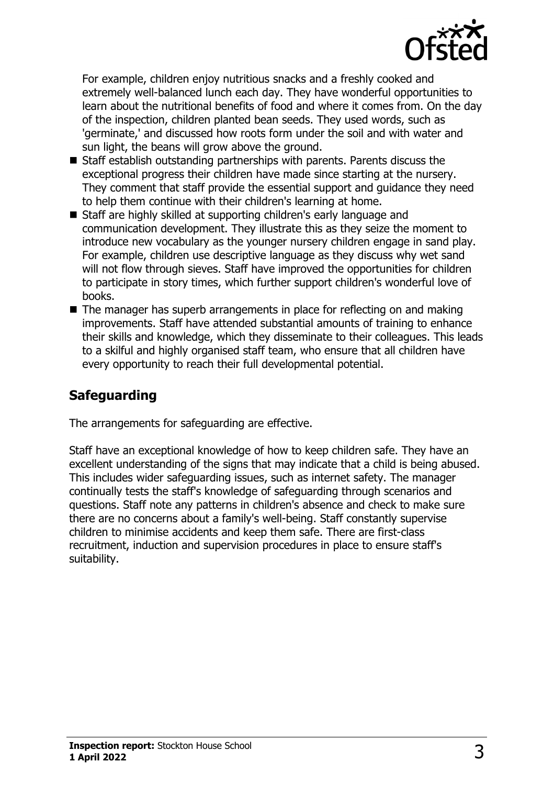

For example, children enjoy nutritious snacks and a freshly cooked and extremely well-balanced lunch each day. They have wonderful opportunities to learn about the nutritional benefits of food and where it comes from. On the day of the inspection, children planted bean seeds. They used words, such as 'germinate,' and discussed how roots form under the soil and with water and sun light, the beans will grow above the ground.

- $\blacksquare$  Staff establish outstanding partnerships with parents. Parents discuss the exceptional progress their children have made since starting at the nursery. They comment that staff provide the essential support and guidance they need to help them continue with their children's learning at home.
- Staff are highly skilled at supporting children's early language and communication development. They illustrate this as they seize the moment to introduce new vocabulary as the younger nursery children engage in sand play. For example, children use descriptive language as they discuss why wet sand will not flow through sieves. Staff have improved the opportunities for children to participate in story times, which further support children's wonderful love of books.
- $\blacksquare$  The manager has superb arrangements in place for reflecting on and making improvements. Staff have attended substantial amounts of training to enhance their skills and knowledge, which they disseminate to their colleagues. This leads to a skilful and highly organised staff team, who ensure that all children have every opportunity to reach their full developmental potential.

## **Safeguarding**

The arrangements for safeguarding are effective.

Staff have an exceptional knowledge of how to keep children safe. They have an excellent understanding of the signs that may indicate that a child is being abused. This includes wider safeguarding issues, such as internet safety. The manager continually tests the staff's knowledge of safeguarding through scenarios and questions. Staff note any patterns in children's absence and check to make sure there are no concerns about a family's well-being. Staff constantly supervise children to minimise accidents and keep them safe. There are first-class recruitment, induction and supervision procedures in place to ensure staff's suitability.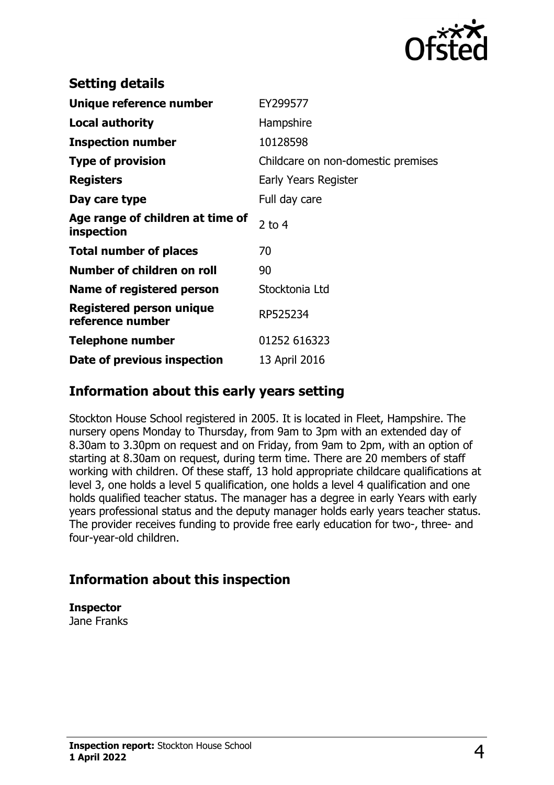

| <b>Setting details</b>                              |                                    |
|-----------------------------------------------------|------------------------------------|
| Unique reference number                             | EY299577                           |
| <b>Local authority</b>                              | Hampshire                          |
| <b>Inspection number</b>                            | 10128598                           |
| <b>Type of provision</b>                            | Childcare on non-domestic premises |
| <b>Registers</b>                                    | Early Years Register               |
| Day care type                                       | Full day care                      |
| Age range of children at time of<br>inspection      | 2 to $4$                           |
| <b>Total number of places</b>                       | 70                                 |
| Number of children on roll                          | 90                                 |
| Name of registered person                           | Stocktonia Ltd                     |
| <b>Registered person unique</b><br>reference number | RP525234                           |
| <b>Telephone number</b>                             | 01252 616323                       |
| Date of previous inspection                         | 13 April 2016                      |

### **Information about this early years setting**

Stockton House School registered in 2005. It is located in Fleet, Hampshire. The nursery opens Monday to Thursday, from 9am to 3pm with an extended day of 8.30am to 3.30pm on request and on Friday, from 9am to 2pm, with an option of starting at 8.30am on request, during term time. There are 20 members of staff working with children. Of these staff, 13 hold appropriate childcare qualifications at level 3, one holds a level 5 qualification, one holds a level 4 qualification and one holds qualified teacher status. The manager has a degree in early Years with early years professional status and the deputy manager holds early years teacher status. The provider receives funding to provide free early education for two-, three- and four-year-old children.

## **Information about this inspection**

**Inspector** Jane Franks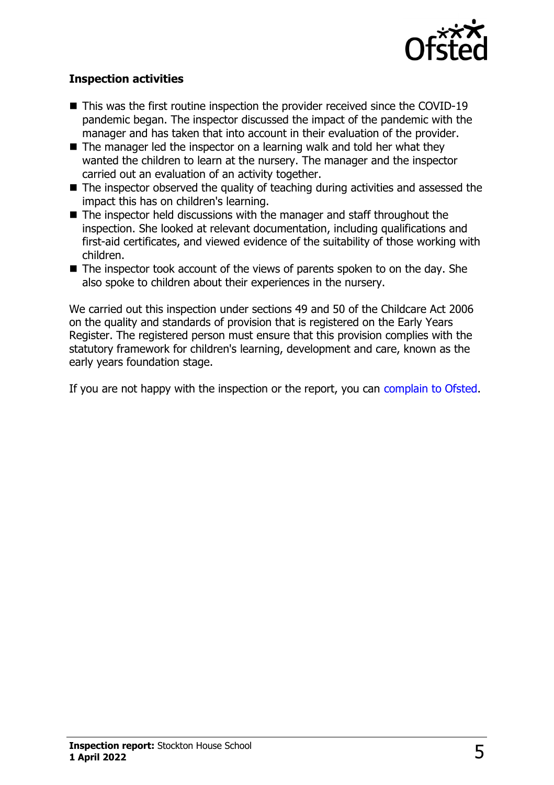

#### **Inspection activities**

- $\blacksquare$  This was the first routine inspection the provider received since the COVID-19 pandemic began. The inspector discussed the impact of the pandemic with the manager and has taken that into account in their evaluation of the provider.
- $\blacksquare$  The manager led the inspector on a learning walk and told her what they wanted the children to learn at the nursery. The manager and the inspector carried out an evaluation of an activity together.
- $\blacksquare$  The inspector observed the quality of teaching during activities and assessed the impact this has on children's learning.
- $\blacksquare$  The inspector held discussions with the manager and staff throughout the inspection. She looked at relevant documentation, including qualifications and first-aid certificates, and viewed evidence of the suitability of those working with children.
- $\blacksquare$  The inspector took account of the views of parents spoken to on the day. She also spoke to children about their experiences in the nursery.

We carried out this inspection under sections 49 and 50 of the Childcare Act 2006 on the quality and standards of provision that is registered on the Early Years Register. The registered person must ensure that this provision complies with the statutory framework for children's learning, development and care, known as the early years foundation stage.

If you are not happy with the inspection or the report, you can [complain to Ofsted](http://www.gov.uk/complain-ofsted-report).